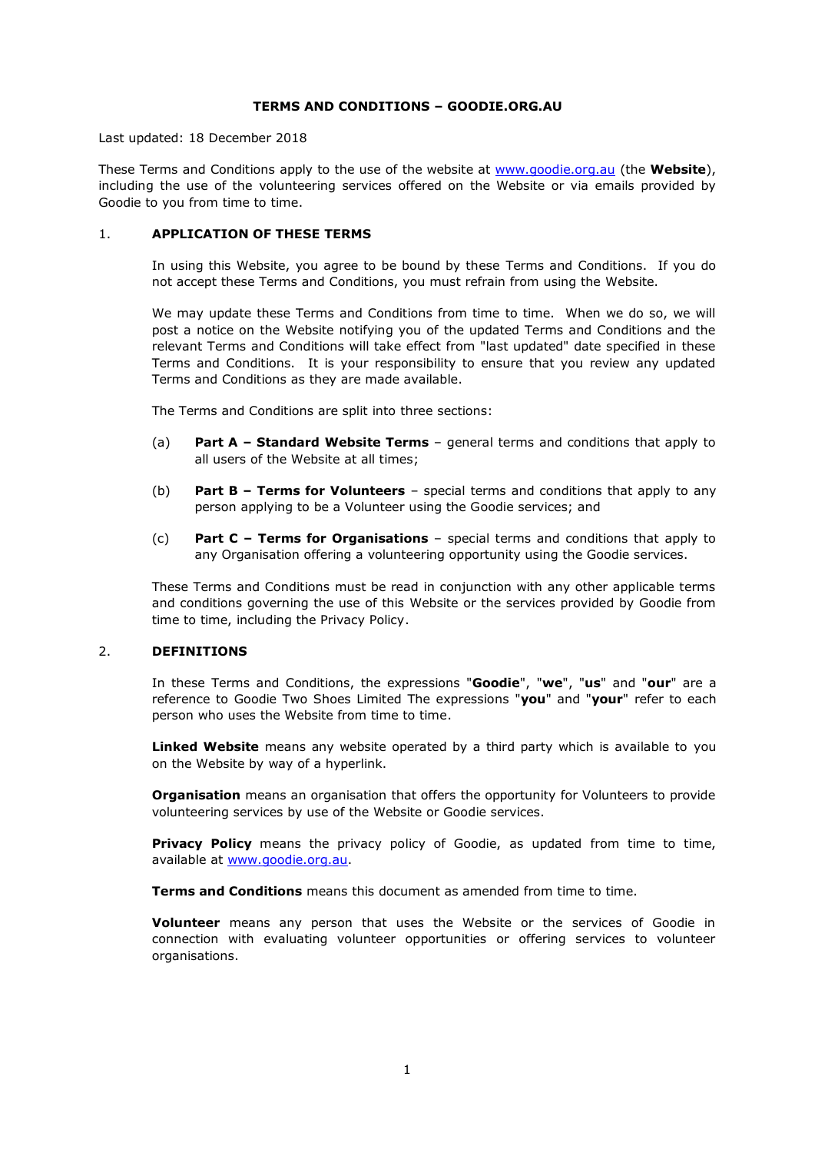## **TERMS AND CONDITIONS – GOODIE.ORG.AU**

Last updated: 18 December 2018

These Terms and Conditions apply to the use of the website at [www.goodie.org.au](http://www.goodie.org.au/) (the **Website**), including the use of the volunteering services offered on the Website or via emails provided by Goodie to you from time to time.

## 1. **APPLICATION OF THESE TERMS**

In using this Website, you agree to be bound by these Terms and Conditions. If you do not accept these Terms and Conditions, you must refrain from using the Website.

We may update these Terms and Conditions from time to time. When we do so, we will post a notice on the Website notifying you of the updated Terms and Conditions and the relevant Terms and Conditions will take effect from "last updated" date specified in these Terms and Conditions. It is your responsibility to ensure that you review any updated Terms and Conditions as they are made available.

The Terms and Conditions are split into three sections:

- (a) **Part A – Standard Website Terms** general terms and conditions that apply to all users of the Website at all times;
- (b) **Part B – Terms for Volunteers** special terms and conditions that apply to any person applying to be a Volunteer using the Goodie services; and
- (c) **Part C – Terms for Organisations**  special terms and conditions that apply to any Organisation offering a volunteering opportunity using the Goodie services.

These Terms and Conditions must be read in conjunction with any other applicable terms and conditions governing the use of this Website or the services provided by Goodie from time to time, including the Privacy Policy.

## 2. **DEFINITIONS**

In these Terms and Conditions, the expressions "**Goodie**", "**we**", "**us**" and "**our**" are a reference to Goodie Two Shoes Limited The expressions "**you**" and "**your**" refer to each person who uses the Website from time to time.

**Linked Website** means any website operated by a third party which is available to you on the Website by way of a hyperlink.

**Organisation** means an organisation that offers the opportunity for Volunteers to provide volunteering services by use of the Website or Goodie services.

**Privacy Policy** means the privacy policy of Goodie, as updated from time to time, available at [www.goodie.org.au.](http://www.goodie.org.au/)

**Terms and Conditions** means this document as amended from time to time.

**Volunteer** means any person that uses the Website or the services of Goodie in connection with evaluating volunteer opportunities or offering services to volunteer organisations.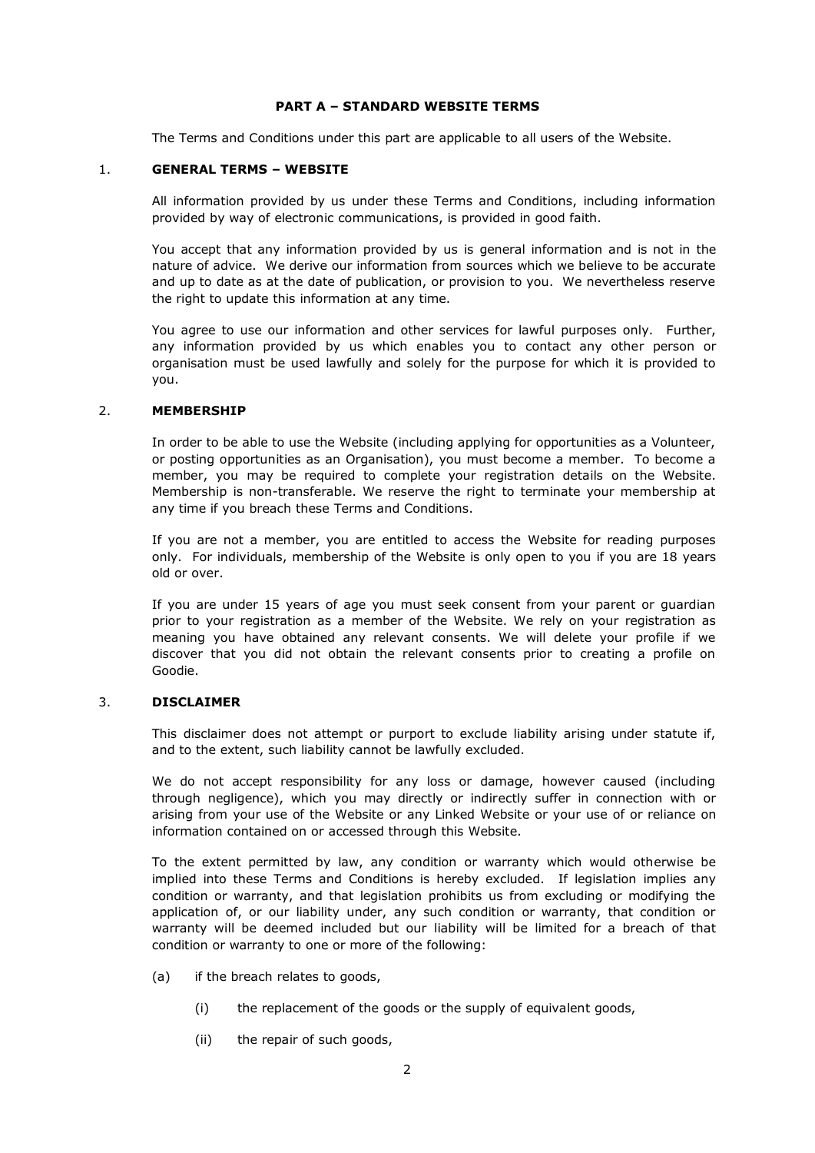## **PART A – STANDARD WEBSITE TERMS**

The Terms and Conditions under this part are applicable to all users of the Website.

## 1. **GENERAL TERMS – WEBSITE**

All information provided by us under these Terms and Conditions, including information provided by way of electronic communications, is provided in good faith.

You accept that any information provided by us is general information and is not in the nature of advice. We derive our information from sources which we believe to be accurate and up to date as at the date of publication, or provision to you. We nevertheless reserve the right to update this information at any time.

You agree to use our information and other services for lawful purposes only. Further, any information provided by us which enables you to contact any other person or organisation must be used lawfully and solely for the purpose for which it is provided to you.

### 2. **MEMBERSHIP**

In order to be able to use the Website (including applying for opportunities as a Volunteer, or posting opportunities as an Organisation), you must become a member. To become a member, you may be required to complete your registration details on the Website. Membership is non-transferable. We reserve the right to terminate your membership at any time if you breach these Terms and Conditions.

If you are not a member, you are entitled to access the Website for reading purposes only. For individuals, membership of the Website is only open to you if you are 18 years old or over.

If you are under 15 years of age you must seek consent from your parent or guardian prior to your registration as a member of the Website. We rely on your registration as meaning you have obtained any relevant consents. We will delete your profile if we discover that you did not obtain the relevant consents prior to creating a profile on Goodie.

# 3. **DISCLAIMER**

This disclaimer does not attempt or purport to exclude liability arising under statute if, and to the extent, such liability cannot be lawfully excluded.

We do not accept responsibility for any loss or damage, however caused (including through negligence), which you may directly or indirectly suffer in connection with or arising from your use of the Website or any Linked Website or your use of or reliance on information contained on or accessed through this Website.

To the extent permitted by law, any condition or warranty which would otherwise be implied into these Terms and Conditions is hereby excluded. If legislation implies any condition or warranty, and that legislation prohibits us from excluding or modifying the application of, or our liability under, any such condition or warranty, that condition or warranty will be deemed included but our liability will be limited for a breach of that condition or warranty to one or more of the following:

- (a) if the breach relates to goods,
	- (i) the replacement of the goods or the supply of equivalent goods,
	- (ii) the repair of such goods,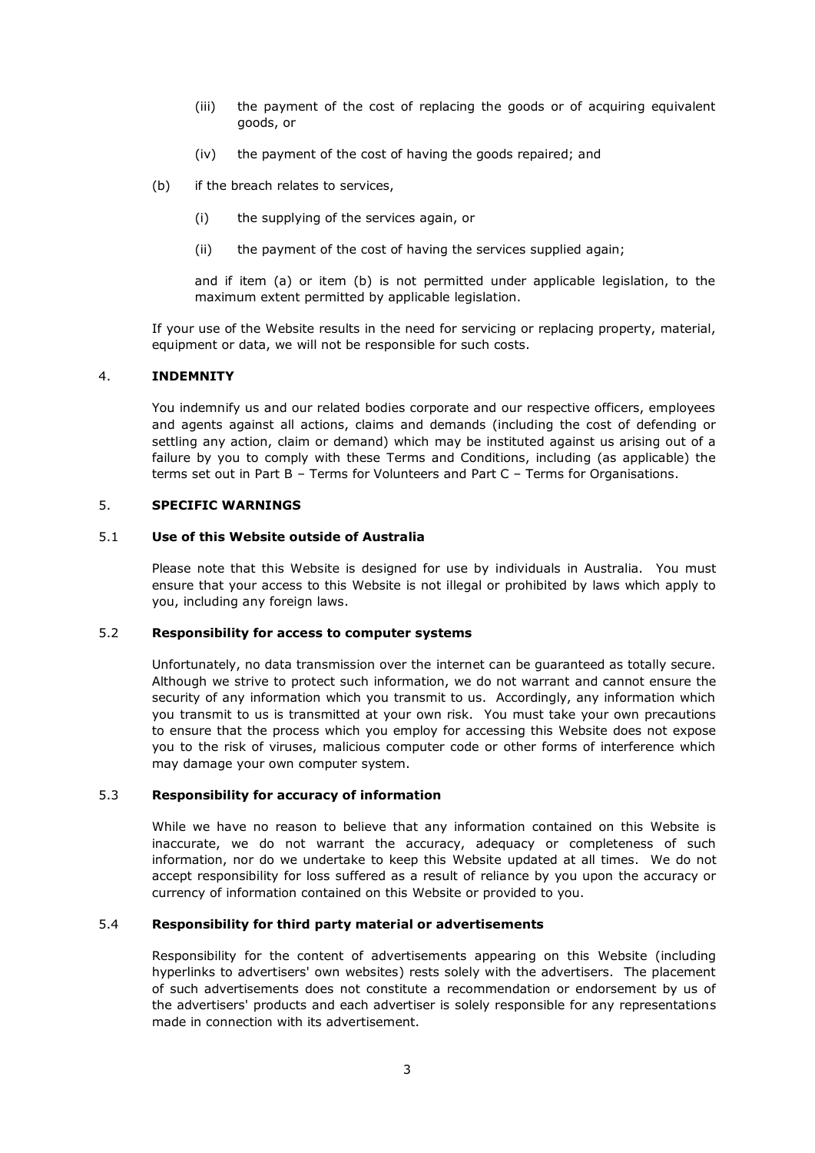- (iii) the payment of the cost of replacing the goods or of acquiring equivalent goods, or
- (iv) the payment of the cost of having the goods repaired; and
- (b) if the breach relates to services,
	- (i) the supplying of the services again, or
	- (ii) the payment of the cost of having the services supplied again;

and if item (a) or item (b) is not permitted under applicable legislation, to the maximum extent permitted by applicable legislation.

If your use of the Website results in the need for servicing or replacing property, material, equipment or data, we will not be responsible for such costs.

### 4. **INDEMNITY**

You indemnify us and our related bodies corporate and our respective officers, employees and agents against all actions, claims and demands (including the cost of defending or settling any action, claim or demand) which may be instituted against us arising out of a failure by you to comply with these Terms and Conditions, including (as applicable) the terms set out in Part B – Terms for Volunteers and Part C – Terms for Organisations.

# 5. **SPECIFIC WARNINGS**

#### 5.1 **Use of this Website outside of Australia**

Please note that this Website is designed for use by individuals in Australia. You must ensure that your access to this Website is not illegal or prohibited by laws which apply to you, including any foreign laws.

#### 5.2 **Responsibility for access to computer systems**

Unfortunately, no data transmission over the internet can be guaranteed as totally secure. Although we strive to protect such information, we do not warrant and cannot ensure the security of any information which you transmit to us. Accordingly, any information which you transmit to us is transmitted at your own risk. You must take your own precautions to ensure that the process which you employ for accessing this Website does not expose you to the risk of viruses, malicious computer code or other forms of interference which may damage your own computer system.

#### 5.3 **Responsibility for accuracy of information**

While we have no reason to believe that any information contained on this Website is inaccurate, we do not warrant the accuracy, adequacy or completeness of such information, nor do we undertake to keep this Website updated at all times. We do not accept responsibility for loss suffered as a result of reliance by you upon the accuracy or currency of information contained on this Website or provided to you.

## 5.4 **Responsibility for third party material or advertisements**

Responsibility for the content of advertisements appearing on this Website (including hyperlinks to advertisers' own websites) rests solely with the advertisers. The placement of such advertisements does not constitute a recommendation or endorsement by us of the advertisers' products and each advertiser is solely responsible for any representations made in connection with its advertisement.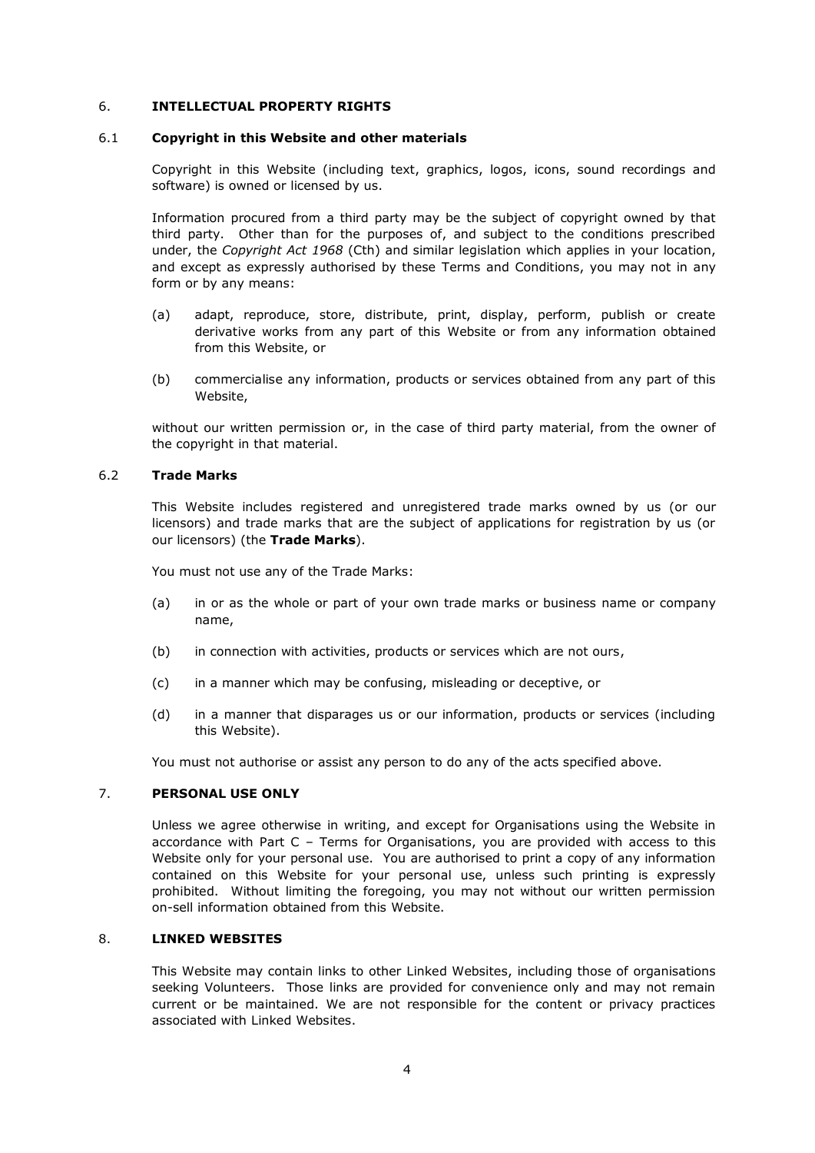## 6. **INTELLECTUAL PROPERTY RIGHTS**

#### 6.1 **Copyright in this Website and other materials**

Copyright in this Website (including text, graphics, logos, icons, sound recordings and software) is owned or licensed by us.

Information procured from a third party may be the subject of copyright owned by that third party. Other than for the purposes of, and subject to the conditions prescribed under, the *Copyright Act 1968* (Cth) and similar legislation which applies in your location, and except as expressly authorised by these Terms and Conditions, you may not in any form or by any means:

- (a) adapt, reproduce, store, distribute, print, display, perform, publish or create derivative works from any part of this Website or from any information obtained from this Website, or
- (b) commercialise any information, products or services obtained from any part of this Website,

without our written permission or, in the case of third party material, from the owner of the copyright in that material.

# 6.2 **Trade Marks**

This Website includes registered and unregistered trade marks owned by us (or our licensors) and trade marks that are the subject of applications for registration by us (or our licensors) (the **Trade Marks**).

You must not use any of the Trade Marks:

- (a) in or as the whole or part of your own trade marks or business name or company name,
- (b) in connection with activities, products or services which are not ours,
- (c) in a manner which may be confusing, misleading or deceptive, or
- (d) in a manner that disparages us or our information, products or services (including this Website).

You must not authorise or assist any person to do any of the acts specified above.

# 7. **PERSONAL USE ONLY**

Unless we agree otherwise in writing, and except for Organisations using the Website in accordance with Part C – Terms for Organisations, you are provided with access to this Website only for your personal use. You are authorised to print a copy of any information contained on this Website for your personal use, unless such printing is expressly prohibited. Without limiting the foregoing, you may not without our written permission on-sell information obtained from this Website.

# 8. **LINKED WEBSITES**

This Website may contain links to other Linked Websites, including those of organisations seeking Volunteers. Those links are provided for convenience only and may not remain current or be maintained. We are not responsible for the content or privacy practices associated with Linked Websites.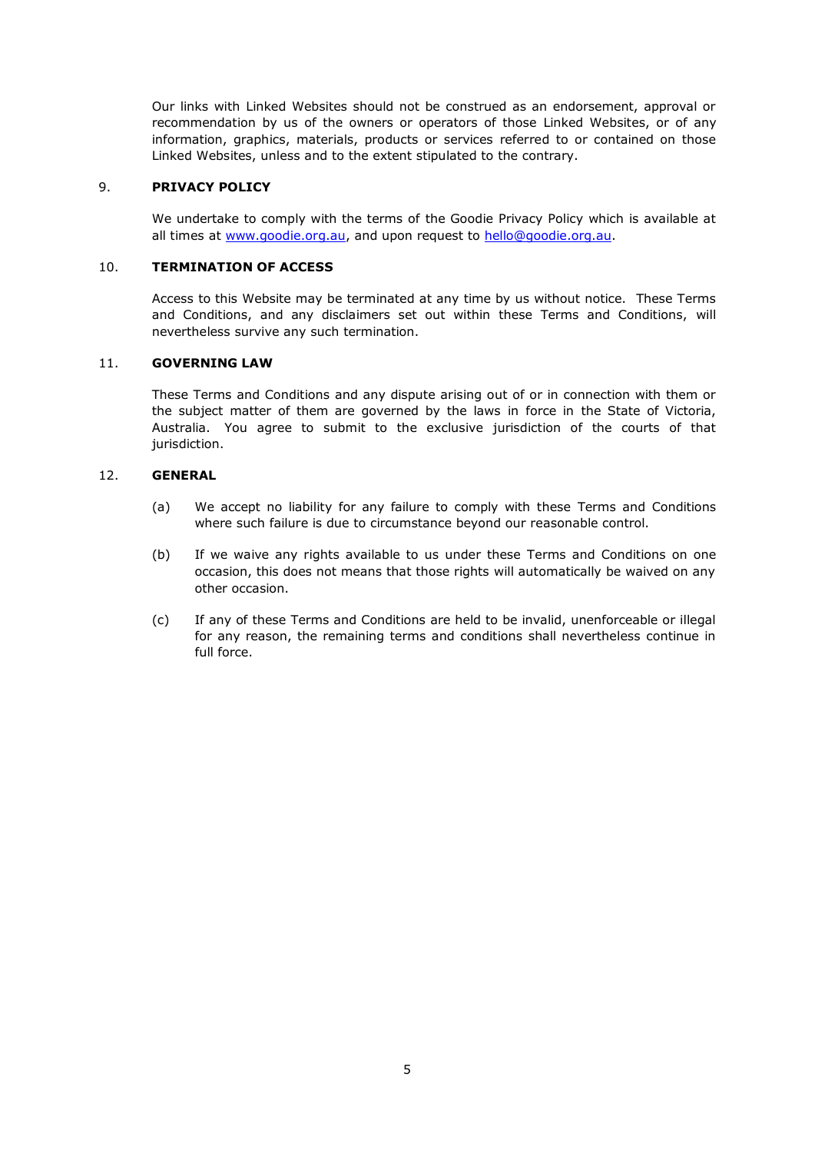Our links with Linked Websites should not be construed as an endorsement, approval or recommendation by us of the owners or operators of those Linked Websites, or of any information, graphics, materials, products or services referred to or contained on those Linked Websites, unless and to the extent stipulated to the contrary.

# 9. **PRIVACY POLICY**

We undertake to comply with the terms of the Goodie Privacy Policy which is available at all times at [www.goodie.org.au,](http://www.goodie.org.au/) and upon request to [hello@goodie.org.au.](mailto:hello@goodie.org.au)

# 10. **TERMINATION OF ACCESS**

Access to this Website may be terminated at any time by us without notice. These Terms and Conditions, and any disclaimers set out within these Terms and Conditions, will nevertheless survive any such termination.

## 11. **GOVERNING LAW**

These Terms and Conditions and any dispute arising out of or in connection with them or the subject matter of them are governed by the laws in force in the State of Victoria, Australia. You agree to submit to the exclusive jurisdiction of the courts of that jurisdiction.

# 12. **GENERAL**

- (a) We accept no liability for any failure to comply with these Terms and Conditions where such failure is due to circumstance beyond our reasonable control.
- (b) If we waive any rights available to us under these Terms and Conditions on one occasion, this does not means that those rights will automatically be waived on any other occasion.
- (c) If any of these Terms and Conditions are held to be invalid, unenforceable or illegal for any reason, the remaining terms and conditions shall nevertheless continue in full force.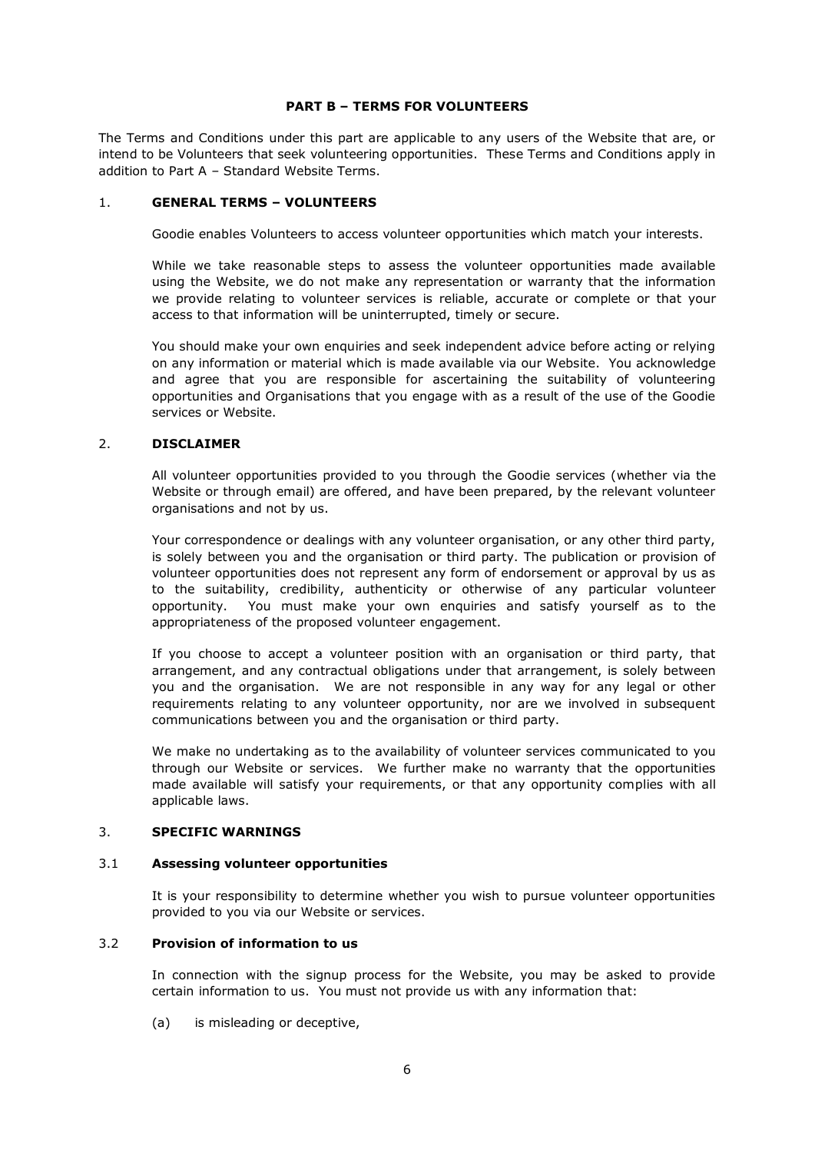## **PART B – TERMS FOR VOLUNTEERS**

The Terms and Conditions under this part are applicable to any users of the Website that are, or intend to be Volunteers that seek volunteering opportunities. These Terms and Conditions apply in addition to Part A – Standard Website Terms.

## 1. **GENERAL TERMS – VOLUNTEERS**

Goodie enables Volunteers to access volunteer opportunities which match your interests.

While we take reasonable steps to assess the volunteer opportunities made available using the Website, we do not make any representation or warranty that the information we provide relating to volunteer services is reliable, accurate or complete or that your access to that information will be uninterrupted, timely or secure.

You should make your own enquiries and seek independent advice before acting or relying on any information or material which is made available via our Website. You acknowledge and agree that you are responsible for ascertaining the suitability of volunteering opportunities and Organisations that you engage with as a result of the use of the Goodie services or Website.

## 2. **DISCLAIMER**

All volunteer opportunities provided to you through the Goodie services (whether via the Website or through email) are offered, and have been prepared, by the relevant volunteer organisations and not by us.

Your correspondence or dealings with any volunteer organisation, or any other third party, is solely between you and the organisation or third party. The publication or provision of volunteer opportunities does not represent any form of endorsement or approval by us as to the suitability, credibility, authenticity or otherwise of any particular volunteer opportunity. You must make your own enquiries and satisfy yourself as to the appropriateness of the proposed volunteer engagement.

If you choose to accept a volunteer position with an organisation or third party, that arrangement, and any contractual obligations under that arrangement, is solely between you and the organisation. We are not responsible in any way for any legal or other requirements relating to any volunteer opportunity, nor are we involved in subsequent communications between you and the organisation or third party.

We make no undertaking as to the availability of volunteer services communicated to you through our Website or services. We further make no warranty that the opportunities made available will satisfy your requirements, or that any opportunity complies with all applicable laws.

## 3. **SPECIFIC WARNINGS**

#### 3.1 **Assessing volunteer opportunities**

It is your responsibility to determine whether you wish to pursue volunteer opportunities provided to you via our Website or services.

#### 3.2 **Provision of information to us**

In connection with the signup process for the Website, you may be asked to provide certain information to us. You must not provide us with any information that:

(a) is misleading or deceptive,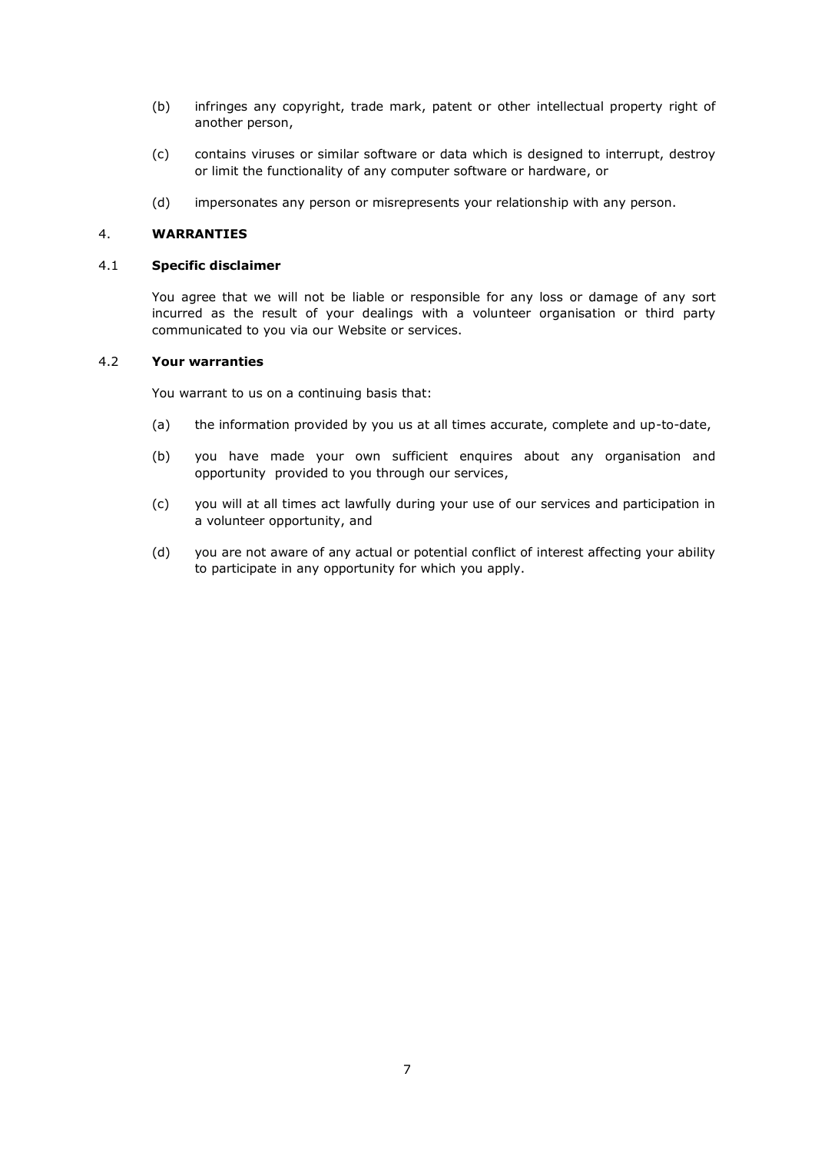- (b) infringes any copyright, trade mark, patent or other intellectual property right of another person,
- (c) contains viruses or similar software or data which is designed to interrupt, destroy or limit the functionality of any computer software or hardware, or
- (d) impersonates any person or misrepresents your relationship with any person.

# 4. **WARRANTIES**

#### 4.1 **Specific disclaimer**

You agree that we will not be liable or responsible for any loss or damage of any sort incurred as the result of your dealings with a volunteer organisation or third party communicated to you via our Website or services.

### 4.2 **Your warranties**

You warrant to us on a continuing basis that:

- (a) the information provided by you us at all times accurate, complete and up-to-date,
- (b) you have made your own sufficient enquires about any organisation and opportunity provided to you through our services,
- (c) you will at all times act lawfully during your use of our services and participation in a volunteer opportunity, and
- (d) you are not aware of any actual or potential conflict of interest affecting your ability to participate in any opportunity for which you apply.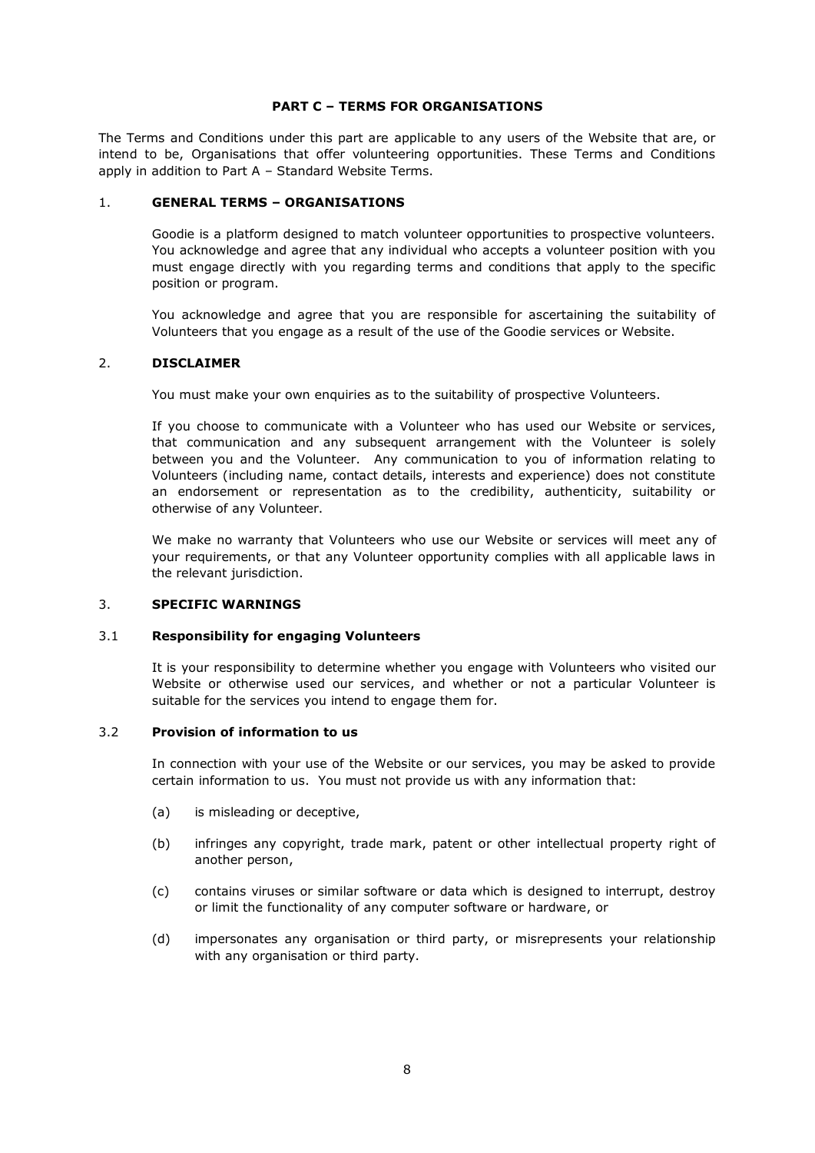## **PART C – TERMS FOR ORGANISATIONS**

The Terms and Conditions under this part are applicable to any users of the Website that are, or intend to be, Organisations that offer volunteering opportunities. These Terms and Conditions apply in addition to Part A – Standard Website Terms.

### 1. **GENERAL TERMS – ORGANISATIONS**

Goodie is a platform designed to match volunteer opportunities to prospective volunteers. You acknowledge and agree that any individual who accepts a volunteer position with you must engage directly with you regarding terms and conditions that apply to the specific position or program.

You acknowledge and agree that you are responsible for ascertaining the suitability of Volunteers that you engage as a result of the use of the Goodie services or Website.

### 2. **DISCLAIMER**

You must make your own enquiries as to the suitability of prospective Volunteers.

If you choose to communicate with a Volunteer who has used our Website or services, that communication and any subsequent arrangement with the Volunteer is solely between you and the Volunteer. Any communication to you of information relating to Volunteers (including name, contact details, interests and experience) does not constitute an endorsement or representation as to the credibility, authenticity, suitability or otherwise of any Volunteer.

We make no warranty that Volunteers who use our Website or services will meet any of your requirements, or that any Volunteer opportunity complies with all applicable laws in the relevant jurisdiction.

#### 3. **SPECIFIC WARNINGS**

## 3.1 **Responsibility for engaging Volunteers**

It is your responsibility to determine whether you engage with Volunteers who visited our Website or otherwise used our services, and whether or not a particular Volunteer is suitable for the services you intend to engage them for.

## 3.2 **Provision of information to us**

In connection with your use of the Website or our services, you may be asked to provide certain information to us. You must not provide us with any information that:

- (a) is misleading or deceptive,
- (b) infringes any copyright, trade mark, patent or other intellectual property right of another person,
- (c) contains viruses or similar software or data which is designed to interrupt, destroy or limit the functionality of any computer software or hardware, or
- (d) impersonates any organisation or third party, or misrepresents your relationship with any organisation or third party.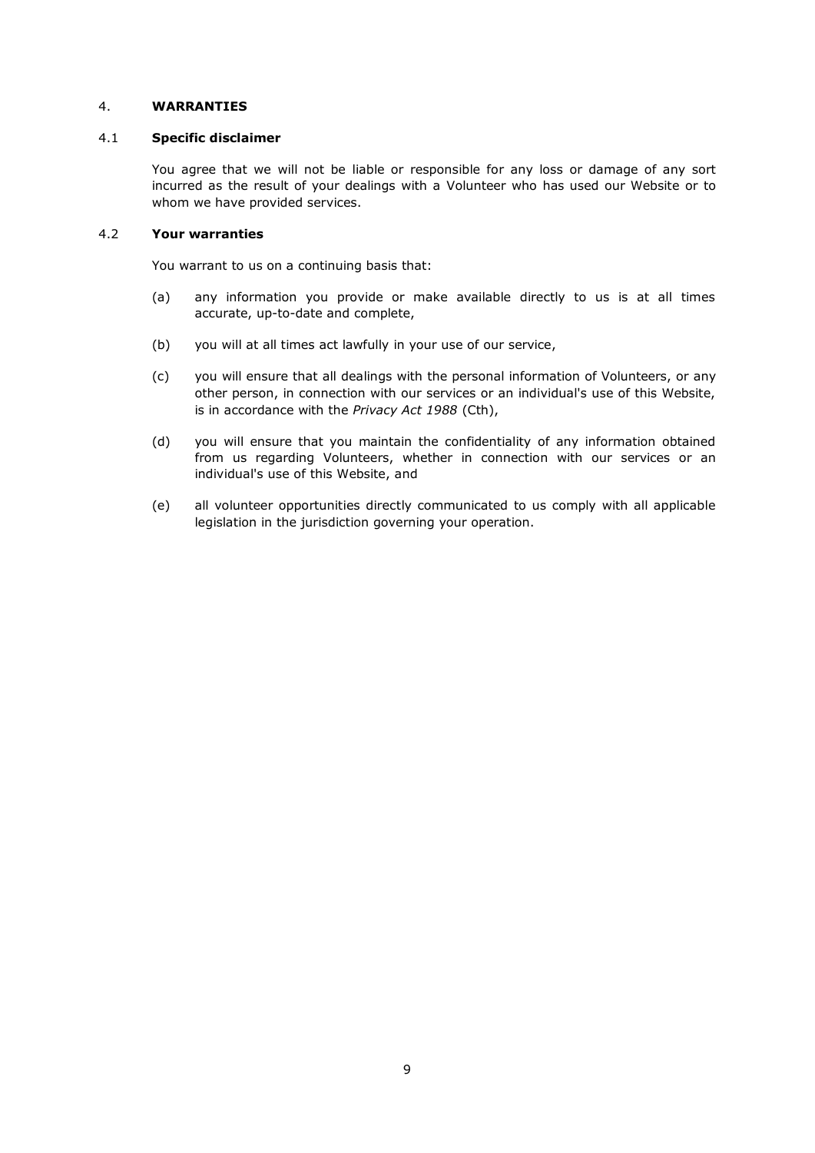# 4. **WARRANTIES**

## 4.1 **Specific disclaimer**

You agree that we will not be liable or responsible for any loss or damage of any sort incurred as the result of your dealings with a Volunteer who has used our Website or to whom we have provided services.

# 4.2 **Your warranties**

You warrant to us on a continuing basis that:

- (a) any information you provide or make available directly to us is at all times accurate, up-to-date and complete,
- (b) you will at all times act lawfully in your use of our service,
- (c) you will ensure that all dealings with the personal information of Volunteers, or any other person, in connection with our services or an individual's use of this Website, is in accordance with the *Privacy Act 1988* (Cth),
- (d) you will ensure that you maintain the confidentiality of any information obtained from us regarding Volunteers, whether in connection with our services or an individual's use of this Website, and
- (e) all volunteer opportunities directly communicated to us comply with all applicable legislation in the jurisdiction governing your operation.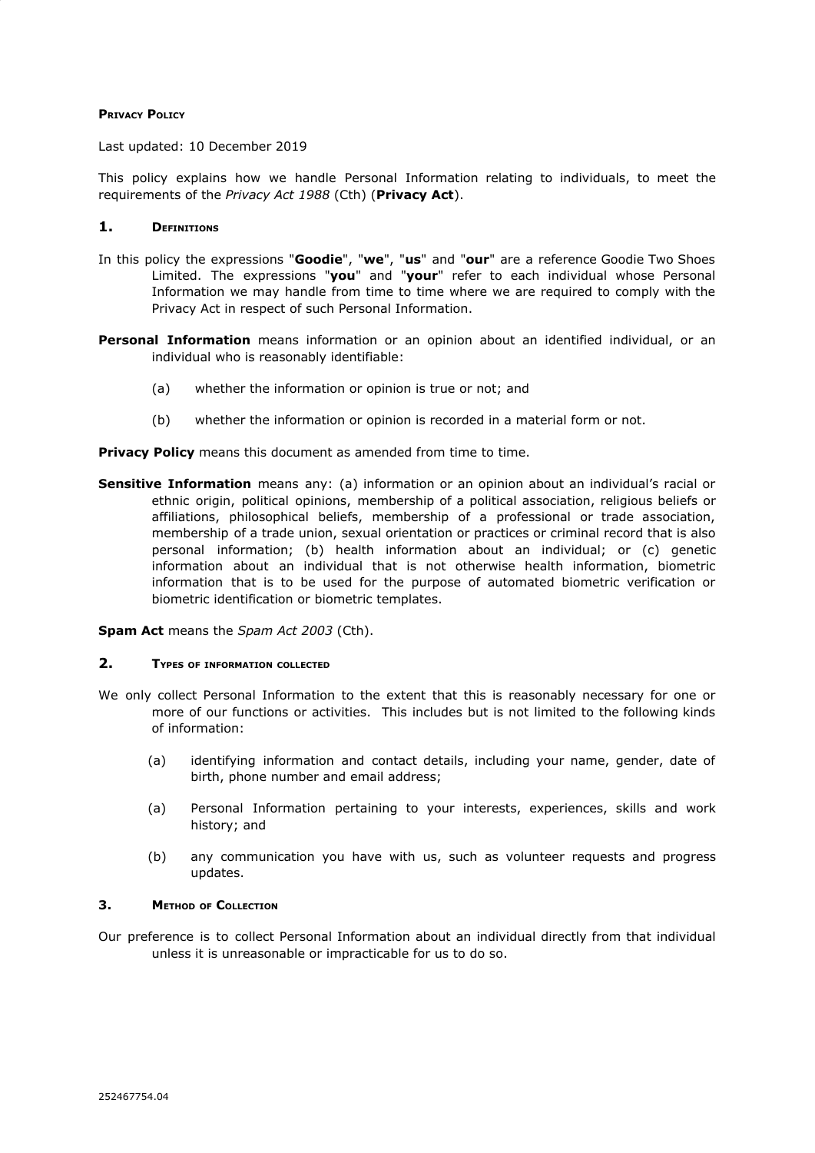## **PRIVACY POLICY**

Last updated: 10 December 2019

This policy explains how we handle Personal Information relating to individuals, to meet the requirements of the *Privacy Act 1988* (Cth) (**Privacy Act**).

### **1. DEFINITIONS**

- In this policy the expressions "**Goodie**", "**we**", "**us**" and "**our**" are a reference Goodie Two Shoes Limited. The expressions "**you**" and "**your**" refer to each individual whose Personal Information we may handle from time to time where we are required to comply with the Privacy Act in respect of such Personal Information.
- **Personal Information** means information or an opinion about an identified individual, or an individual who is reasonably identifiable:
	- (a) whether the information or opinion is true or not; and
	- (b) whether the information or opinion is recorded in a material form or not.

**Privacy Policy** means this document as amended from time to time.

**Sensitive Information** means any: (a) information or an opinion about an individual's racial or ethnic origin, political opinions, membership of a political association, religious beliefs or affiliations, philosophical beliefs, membership of a professional or trade association, membership of a trade union, sexual orientation or practices or criminal record that is also personal information; (b) health information about an individual; or (c) genetic information about an individual that is not otherwise health information, biometric information that is to be used for the purpose of automated biometric verification or biometric identification or biometric templates.

**Spam Act** means the *Spam Act 2003* (Cth).

#### **2. TYPES OF INFORMATION COLLECTED**

- We only collect Personal Information to the extent that this is reasonably necessary for one or more of our functions or activities. This includes but is not limited to the following kinds of information:
	- (a) identifying information and contact details, including your name, gender, date of birth, phone number and email address;
	- (a) Personal Information pertaining to your interests, experiences, skills and work history; and
	- (b) any communication you have with us, such as volunteer requests and progress updates.

# **3. METHOD OF COLLECTION**

Our preference is to collect Personal Information about an individual directly from that individual unless it is unreasonable or impracticable for us to do so.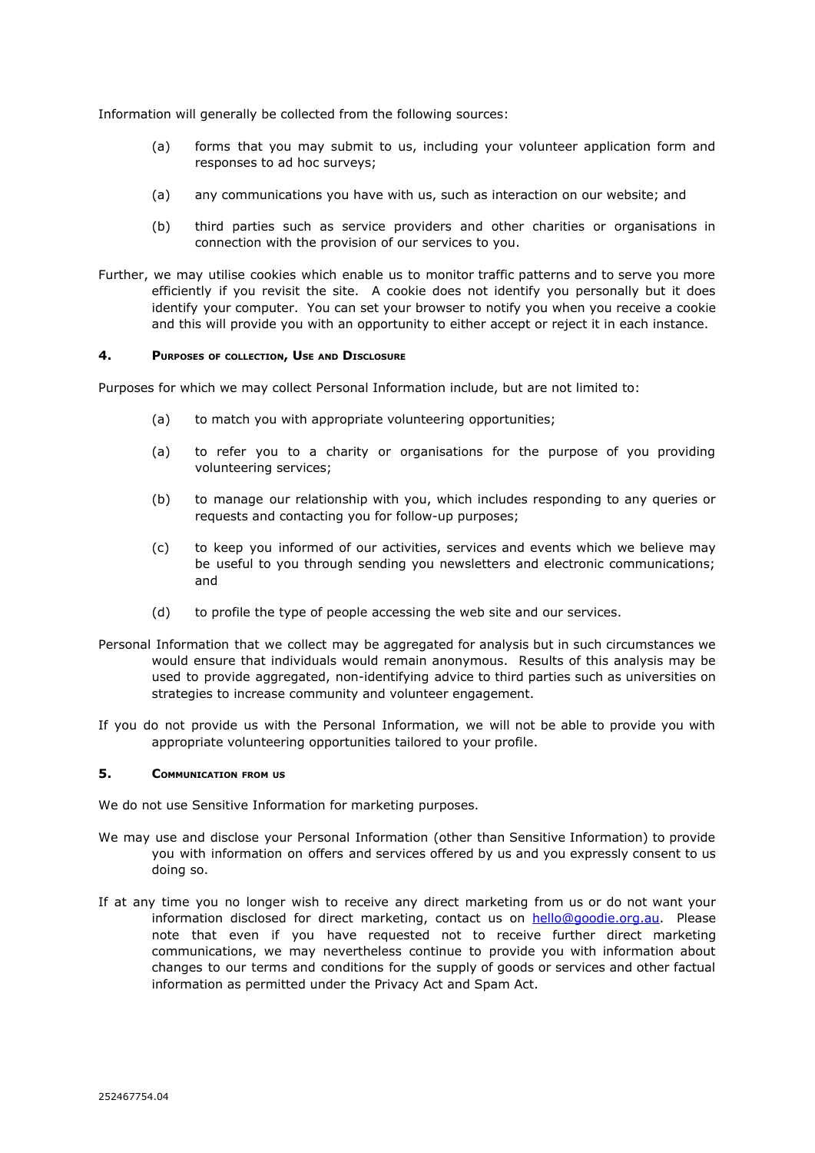Information will generally be collected from the following sources:

- (a) forms that you may submit to us, including your volunteer application form and responses to ad hoc surveys;
- (a) any communications you have with us, such as interaction on our website; and
- (b) third parties such as service providers and other charities or organisations in connection with the provision of our services to you.
- Further, we may utilise cookies which enable us to monitor traffic patterns and to serve you more efficiently if you revisit the site. A cookie does not identify you personally but it does identify your computer. You can set your browser to notify you when you receive a cookie and this will provide you with an opportunity to either accept or reject it in each instance.

### **4. PURPOSES OF COLLECTION, USE AND DISCLOSURE**

Purposes for which we may collect Personal Information include, but are not limited to:

- (a) to match you with appropriate volunteering opportunities;
- (a) to refer you to a charity or organisations for the purpose of you providing volunteering services;
- (b) to manage our relationship with you, which includes responding to any queries or requests and contacting you for follow-up purposes;
- (c) to keep you informed of our activities, services and events which we believe may be useful to you through sending you newsletters and electronic communications; and
- (d) to profile the type of people accessing the web site and our services.
- Personal Information that we collect may be aggregated for analysis but in such circumstances we would ensure that individuals would remain anonymous. Results of this analysis may be used to provide aggregated, non-identifying advice to third parties such as universities on strategies to increase community and volunteer engagement.
- If you do not provide us with the Personal Information, we will not be able to provide you with appropriate volunteering opportunities tailored to your profile.

### **5. COMMUNICATION FROM US**

We do not use Sensitive Information for marketing purposes.

- We may use and disclose your Personal Information (other than Sensitive Information) to provide you with information on offers and services offered by us and you expressly consent to us doing so.
- If at any time you no longer wish to receive any direct marketing from us or do not want your information disclosed for direct marketing, contact us on [hello@goodie.org.au.](mailto:hello@goodie.org.au) Please note that even if you have requested not to receive further direct marketing communications, we may nevertheless continue to provide you with information about changes to our terms and conditions for the supply of goods or services and other factual information as permitted under the Privacy Act and Spam Act.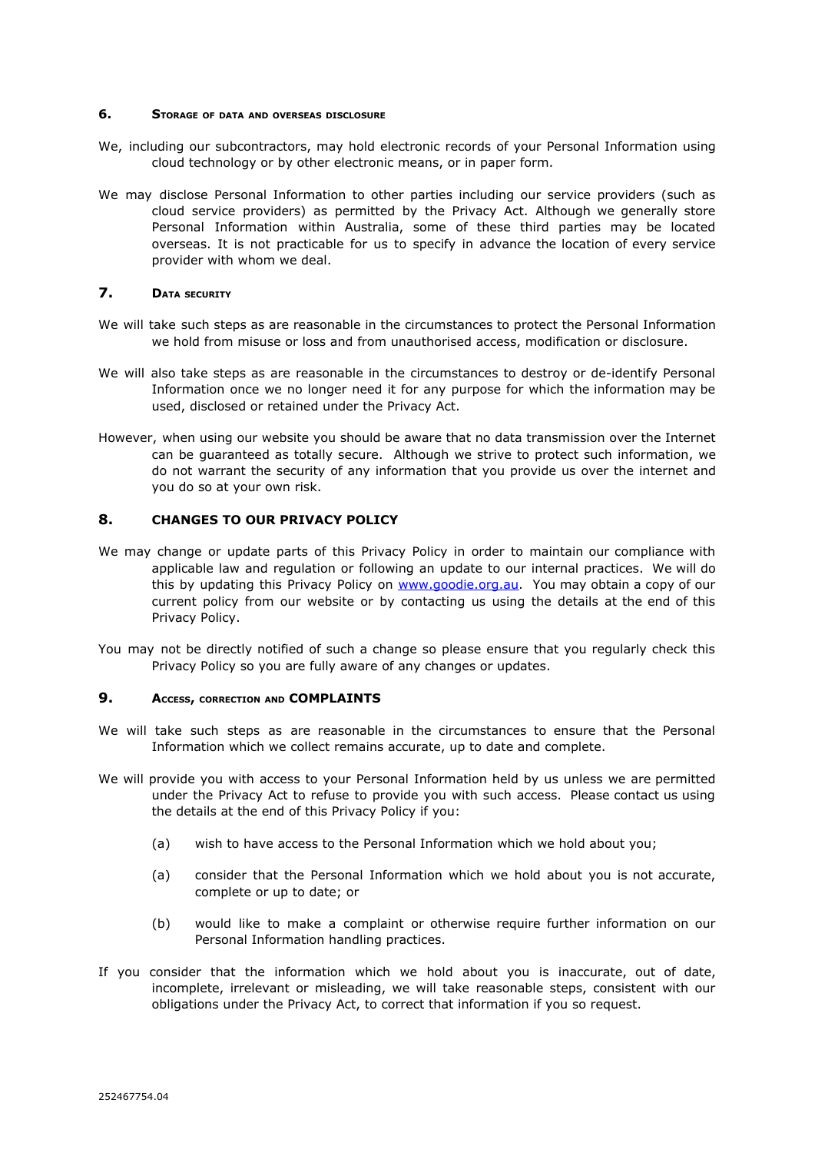## **6. STORAGE OF DATA AND OVERSEAS DISCLOSURE**

- We, including our subcontractors, may hold electronic records of your Personal Information using cloud technology or by other electronic means, or in paper form.
- We may disclose Personal Information to other parties including our service providers (such as cloud service providers) as permitted by the Privacy Act. Although we generally store Personal Information within Australia, some of these third parties may be located overseas. It is not practicable for us to specify in advance the location of every service provider with whom we deal.

# **7. DATA SECURITY**

- We will take such steps as are reasonable in the circumstances to protect the Personal Information we hold from misuse or loss and from unauthorised access, modification or disclosure.
- We will also take steps as are reasonable in the circumstances to destroy or de-identify Personal Information once we no longer need it for any purpose for which the information may be used, disclosed or retained under the Privacy Act.
- However, when using our website you should be aware that no data transmission over the Internet can be guaranteed as totally secure. Although we strive to protect such information, we do not warrant the security of any information that you provide us over the internet and you do so at your own risk.

### **8. CHANGES TO OUR PRIVACY POLICY**

- We may change or update parts of this Privacy Policy in order to maintain our compliance with applicable law and regulation or following an update to our internal practices. We will do this by updating this Privacy Policy on [www.goodie.org.au.](http://www.goodie.org.au/) You may obtain a copy of our current policy from our website or by contacting us using the details at the end of this Privacy Policy.
- You may not be directly notified of such a change so please ensure that you regularly check this Privacy Policy so you are fully aware of any changes or updates.

# **9. ACCESS, CORRECTION AND COMPLAINTS**

- We will take such steps as are reasonable in the circumstances to ensure that the Personal Information which we collect remains accurate, up to date and complete.
- We will provide you with access to your Personal Information held by us unless we are permitted under the Privacy Act to refuse to provide you with such access. Please contact us using the details at the end of this Privacy Policy if you:
	- (a) wish to have access to the Personal Information which we hold about you;
	- (a) consider that the Personal Information which we hold about you is not accurate, complete or up to date; or
	- (b) would like to make a complaint or otherwise require further information on our Personal Information handling practices.
- If you consider that the information which we hold about you is inaccurate, out of date, incomplete, irrelevant or misleading, we will take reasonable steps, consistent with our obligations under the Privacy Act, to correct that information if you so request.